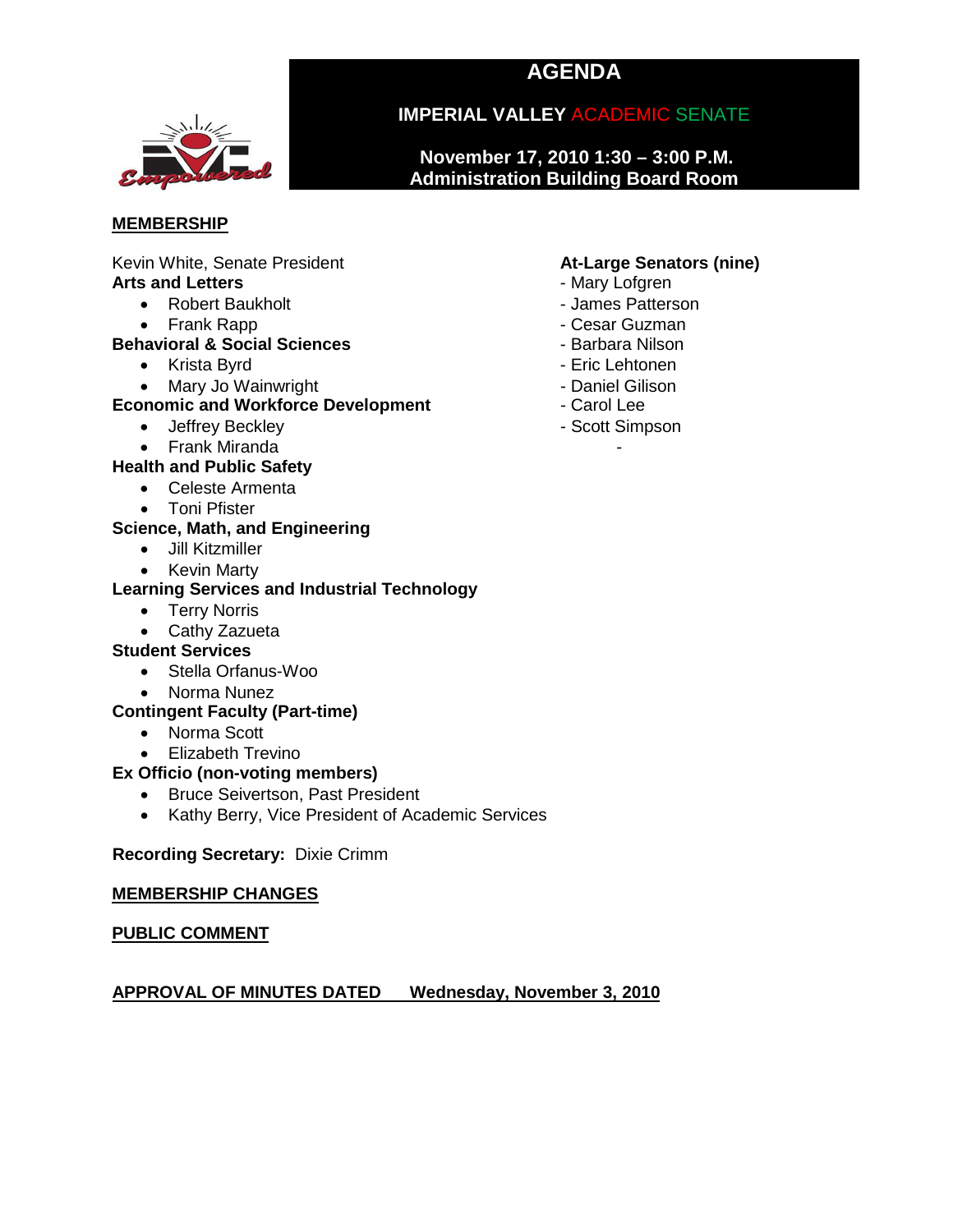# **AGENDA**



# **IMPERIAL VALLEY** ACADEMIC SENATE

**November 17, 2010 1:30 – 3:00 P.M. Administration Building Board Room**

#### **MEMBERSHIP**

Kevin White, Senate President **At-Large Senators (nine)**<br> **Arts and Letters Arts and Letters** Arts and Letters **and Letters** - Mary Lofgren<br> **Arts and Letters - Robert Baukholt - Almes Patterson** 

- Robert Baukholt
	-

#### • Frank Rapp - Cesar Guzman **Behavioral & Social Sciences**

- Krista Byrd  **Executive Contract Contract Contract Contract Contract Contract Contract Contract Contract Contract Contract Contract Contract Contract Contract Contract Contract Contract Contract Contract Contract Contra**
- 

#### • Mary Jo Wainwright **- All and Wainwright - Daniel Gilison**<br> **Prophetic and Workforce Development** - Carol Lee **Economic and Workforce Development**

- Jeffrey Beckley  **Scott Simpson**
- Frank Miranda

### **Health and Public Safety**

- Celeste Armenta
- Toni Pfister

#### **Science, Math, and Engineering**

- Jill Kitzmiller
- Kevin Marty

#### **Learning Services and Industrial Technology**

- Terry Norris
- Cathy Zazueta

#### **Student Services**

- Stella Orfanus-Woo
- Norma Nunez

#### **Contingent Faculty (Part-time)**

- Norma Scott
- Elizabeth Trevino

#### **Ex Officio (non-voting members)**

- Bruce Seivertson, Past President
- Kathy Berry, Vice President of Academic Services

#### **Recording Secretary:** Dixie Crimm

#### **MEMBERSHIP CHANGES**

#### **PUBLIC COMMENT**

# **APPROVAL OF MINUTES DATED Wednesday, November 3, 2010**

- 
- 
- 
- 
- 
- 
- 
-